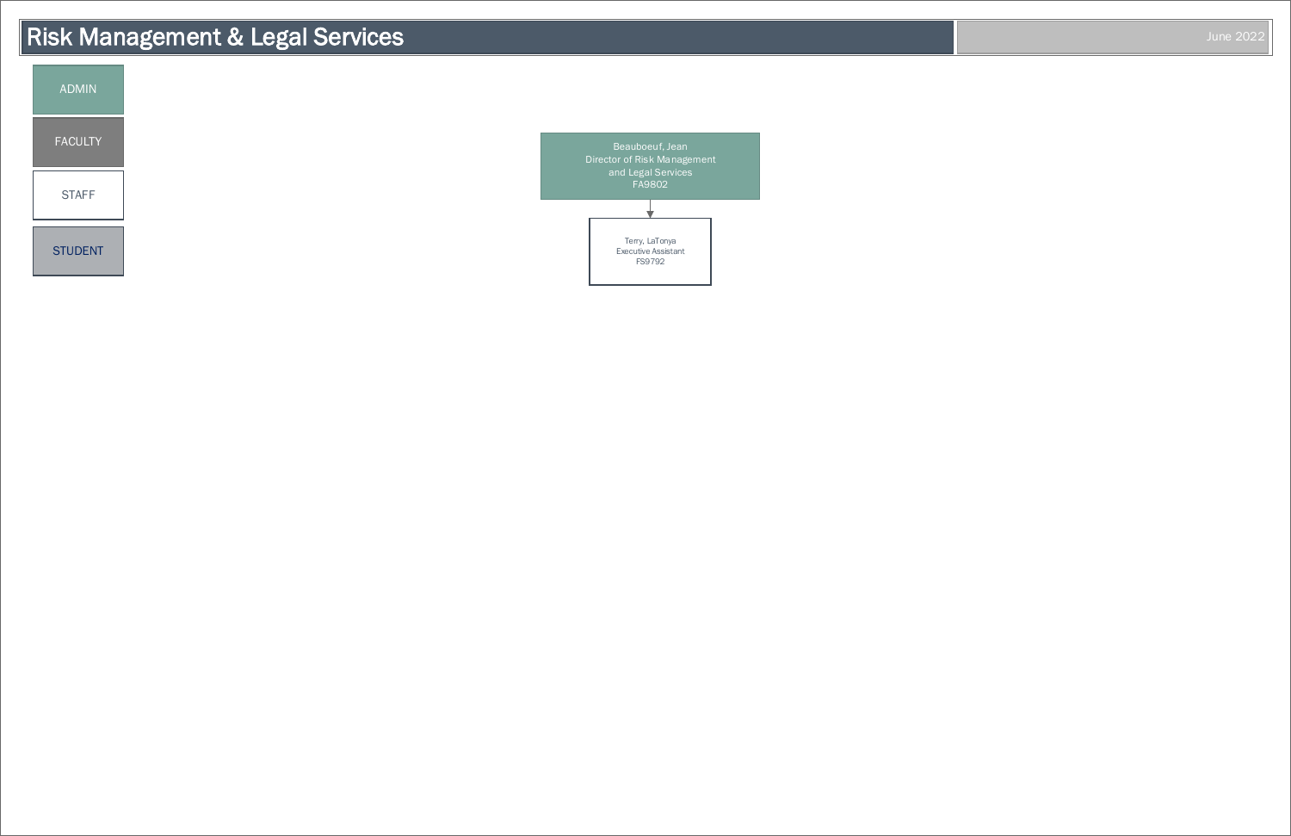# Risk Management & Legal Services June 2022



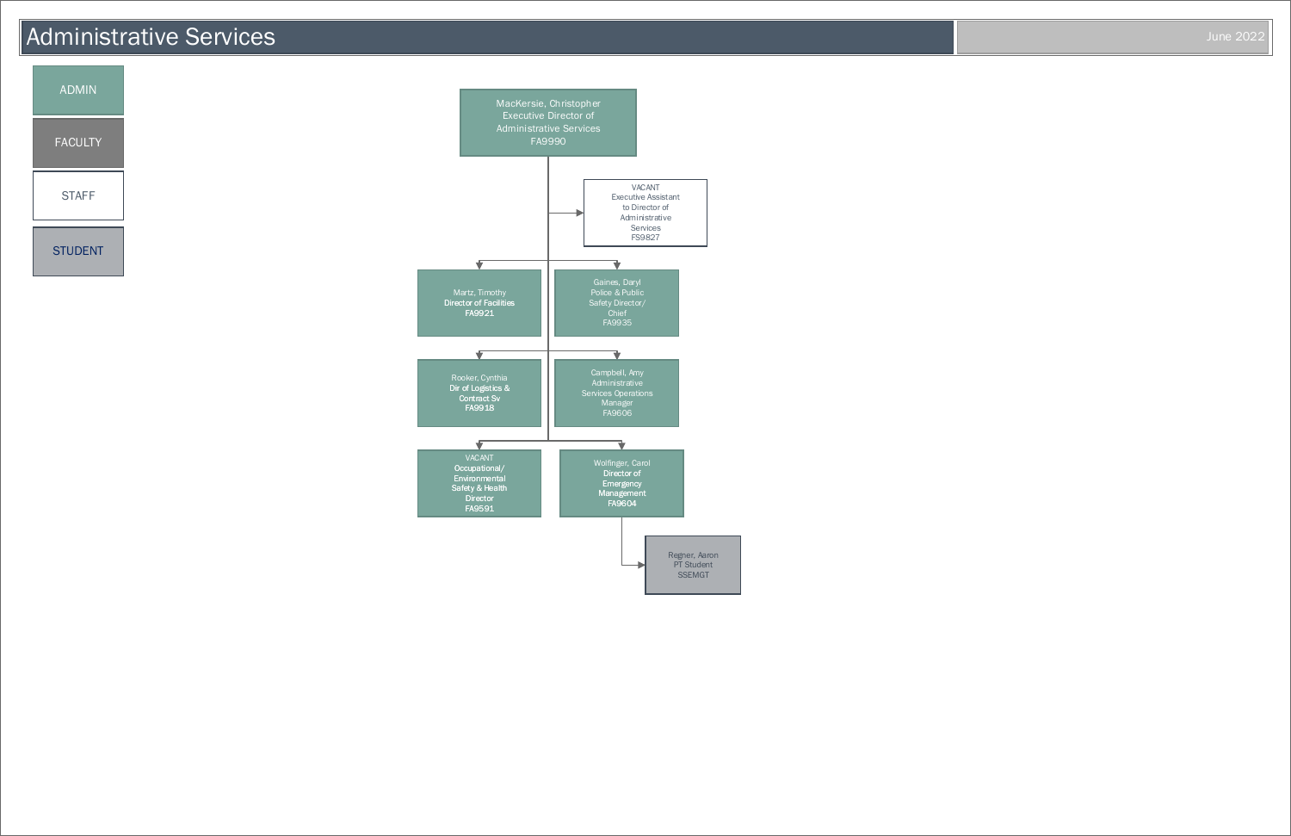

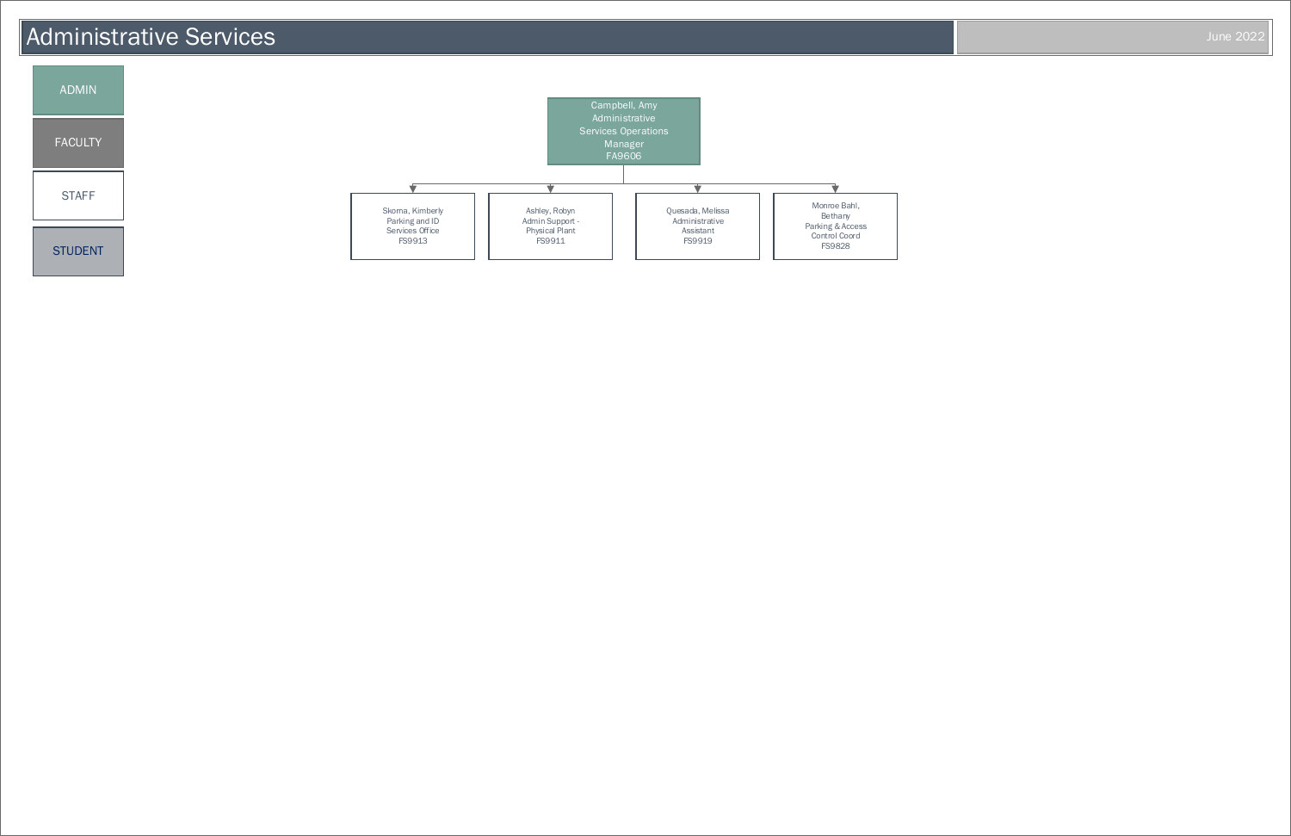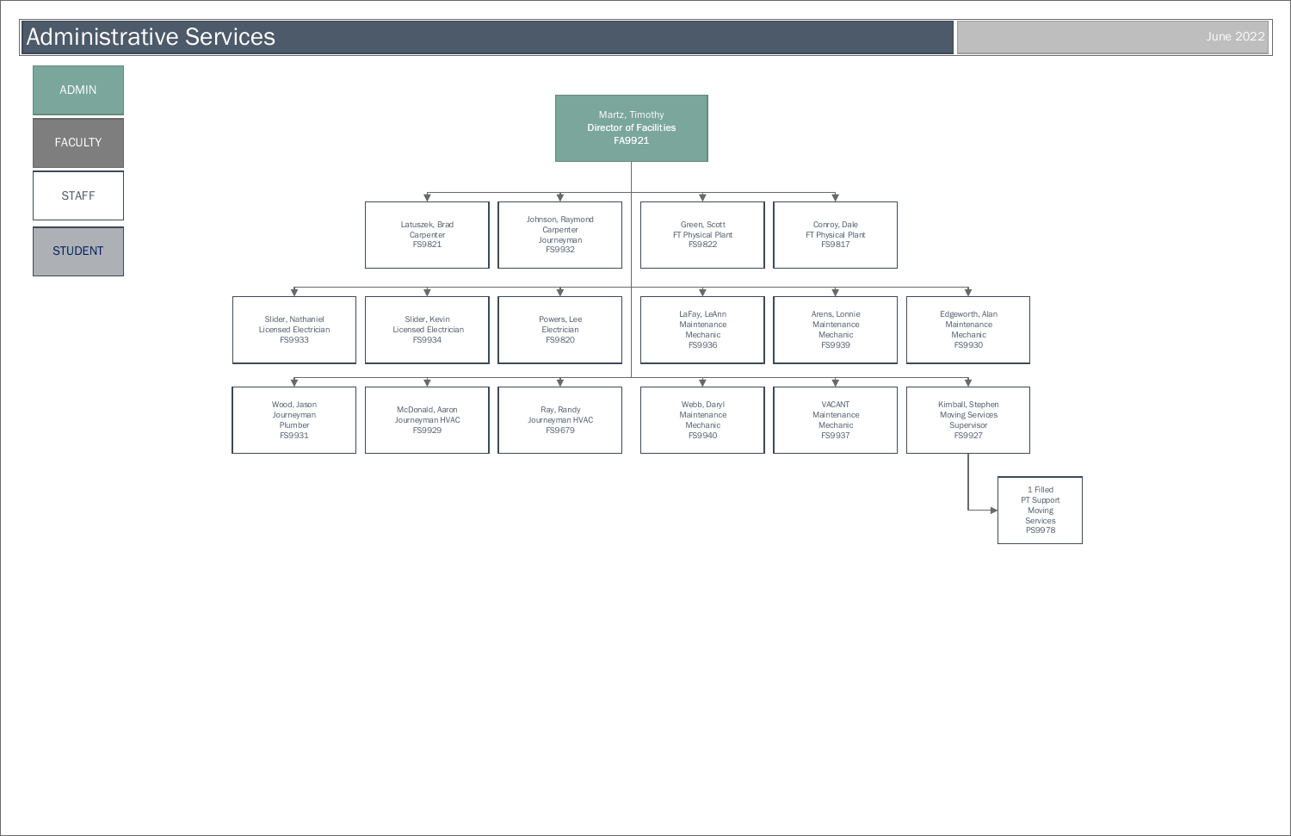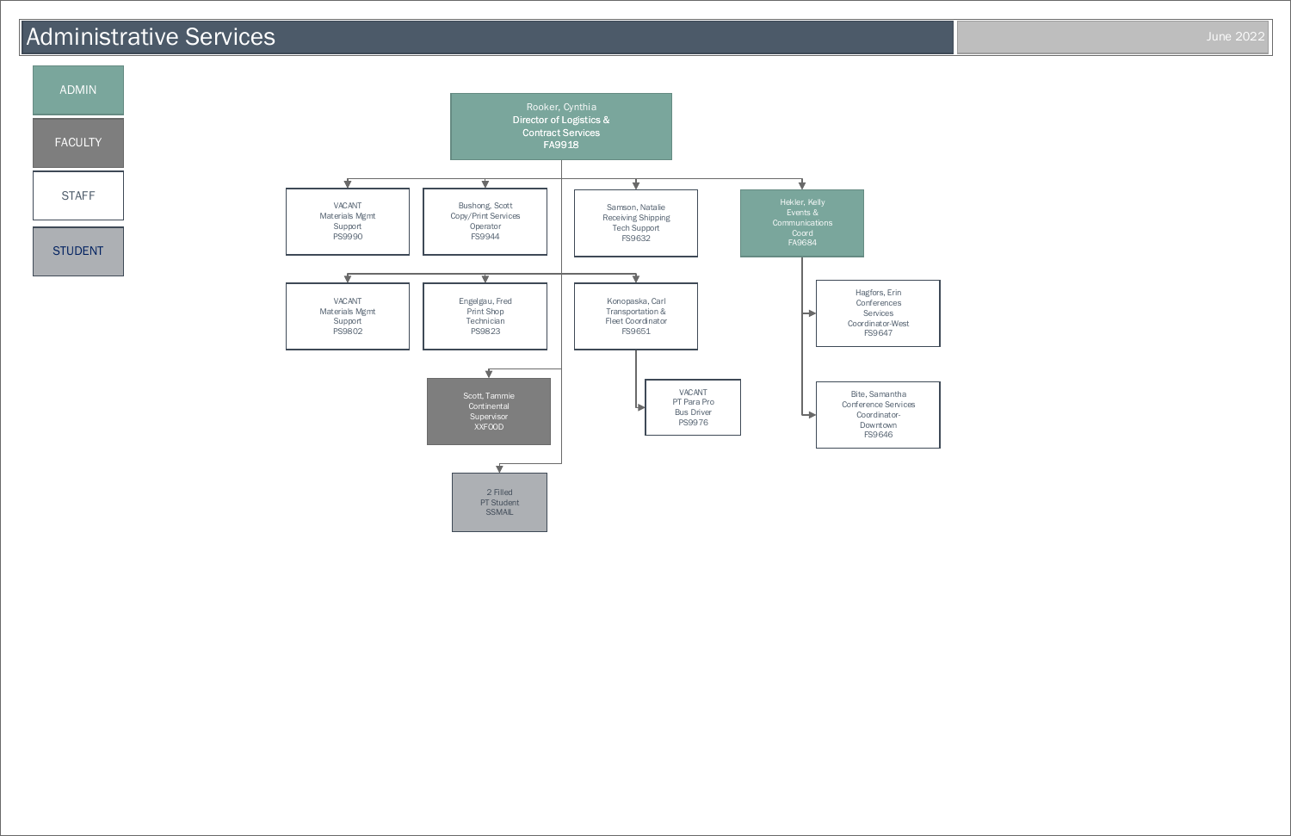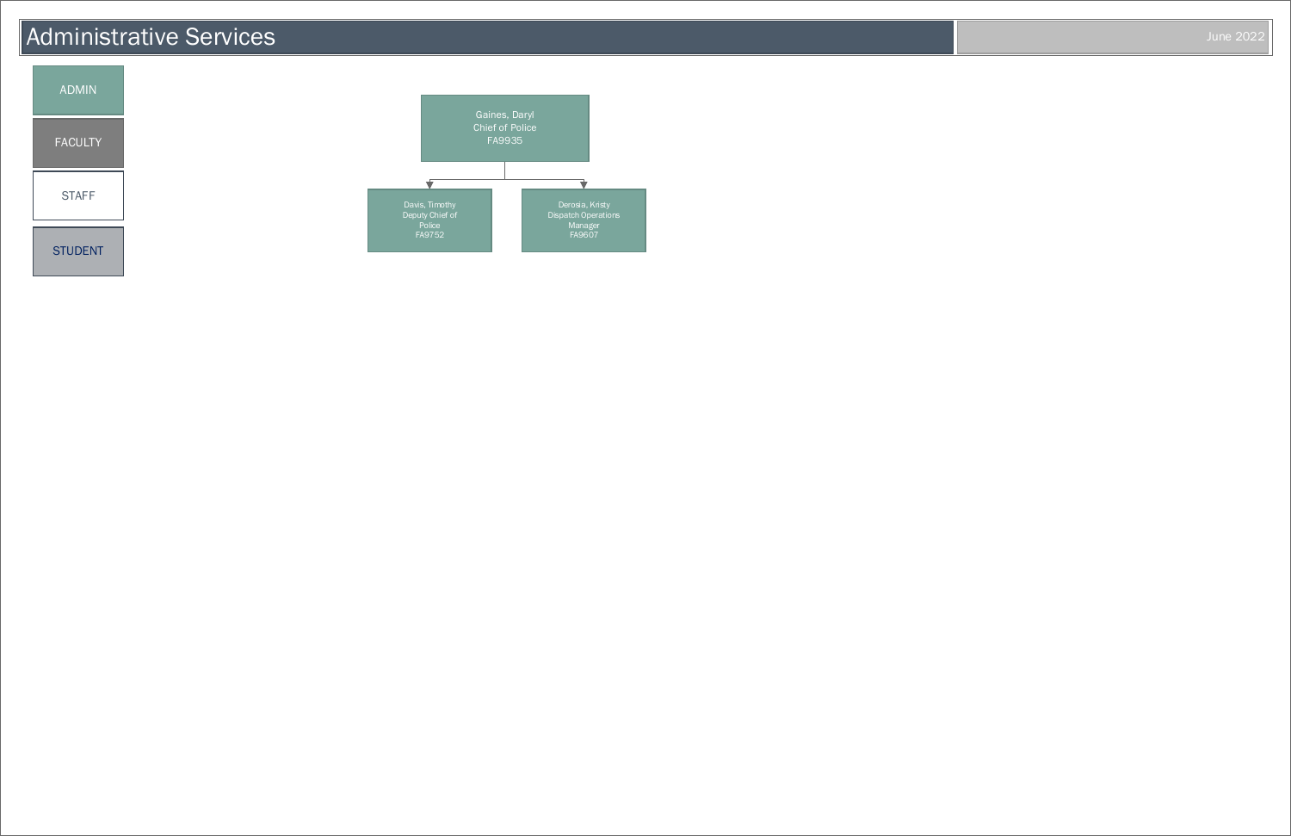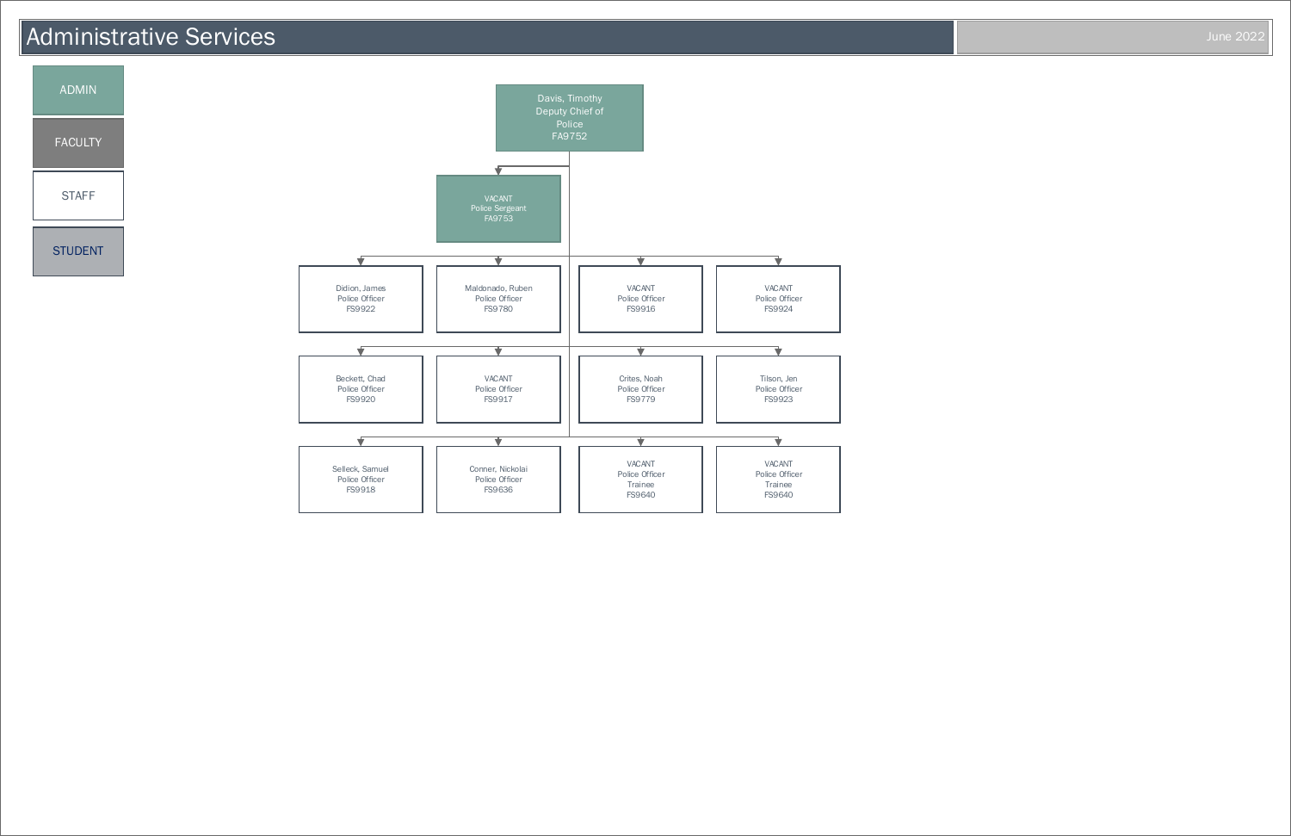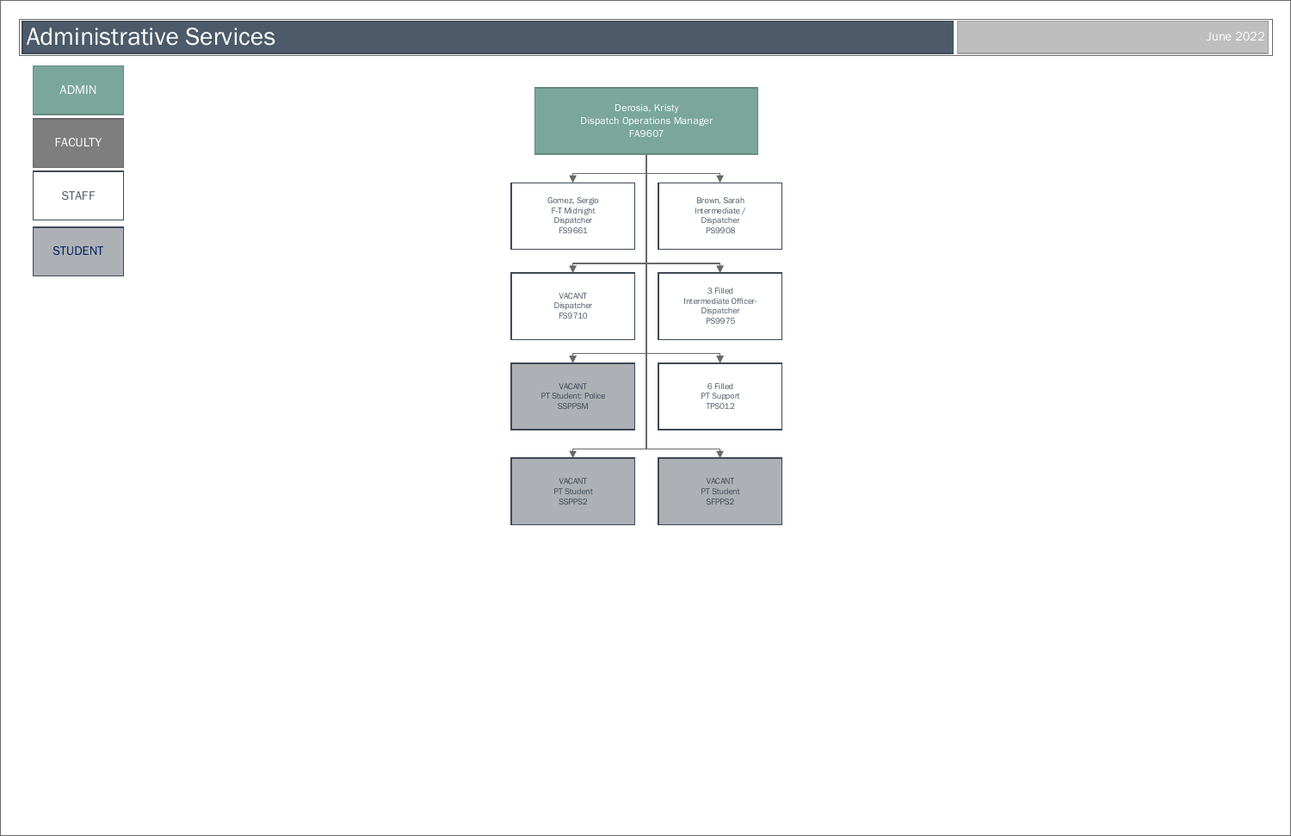

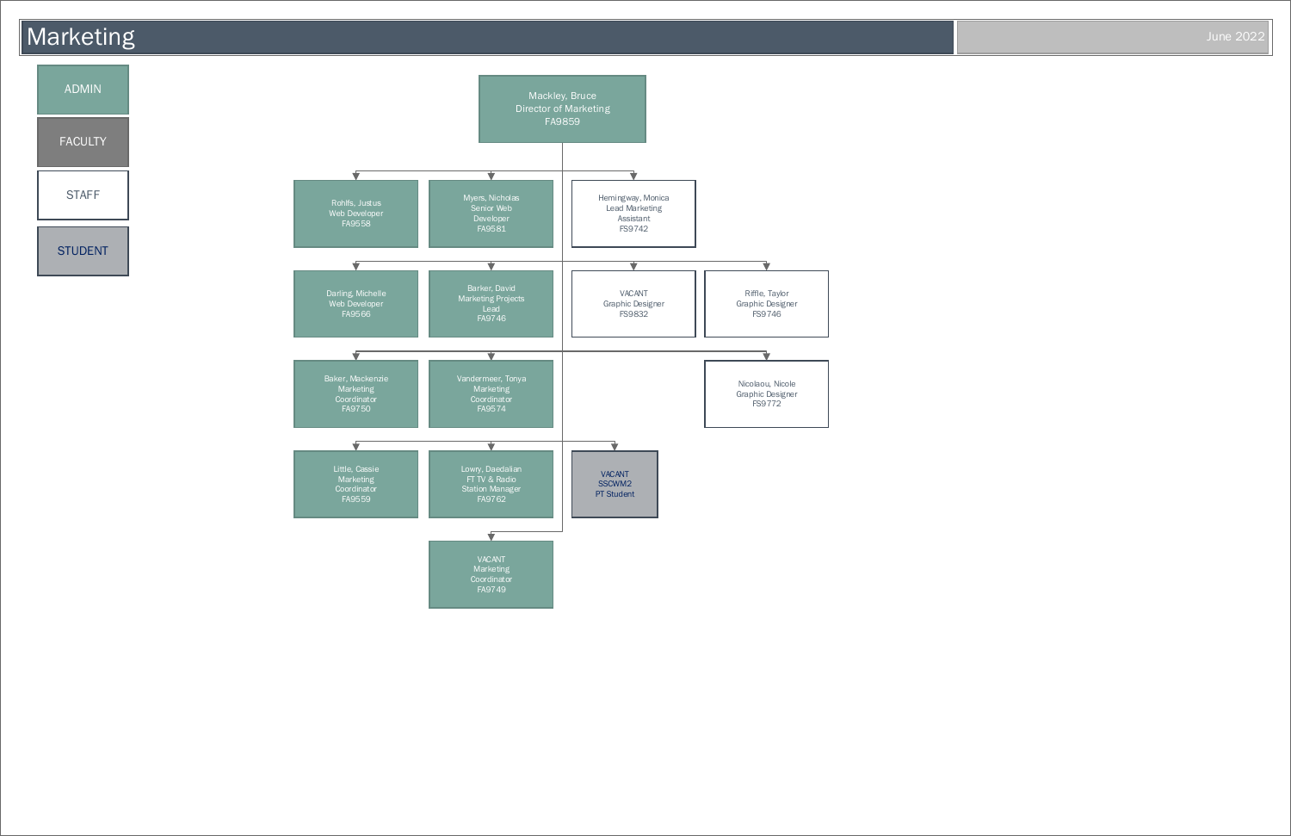

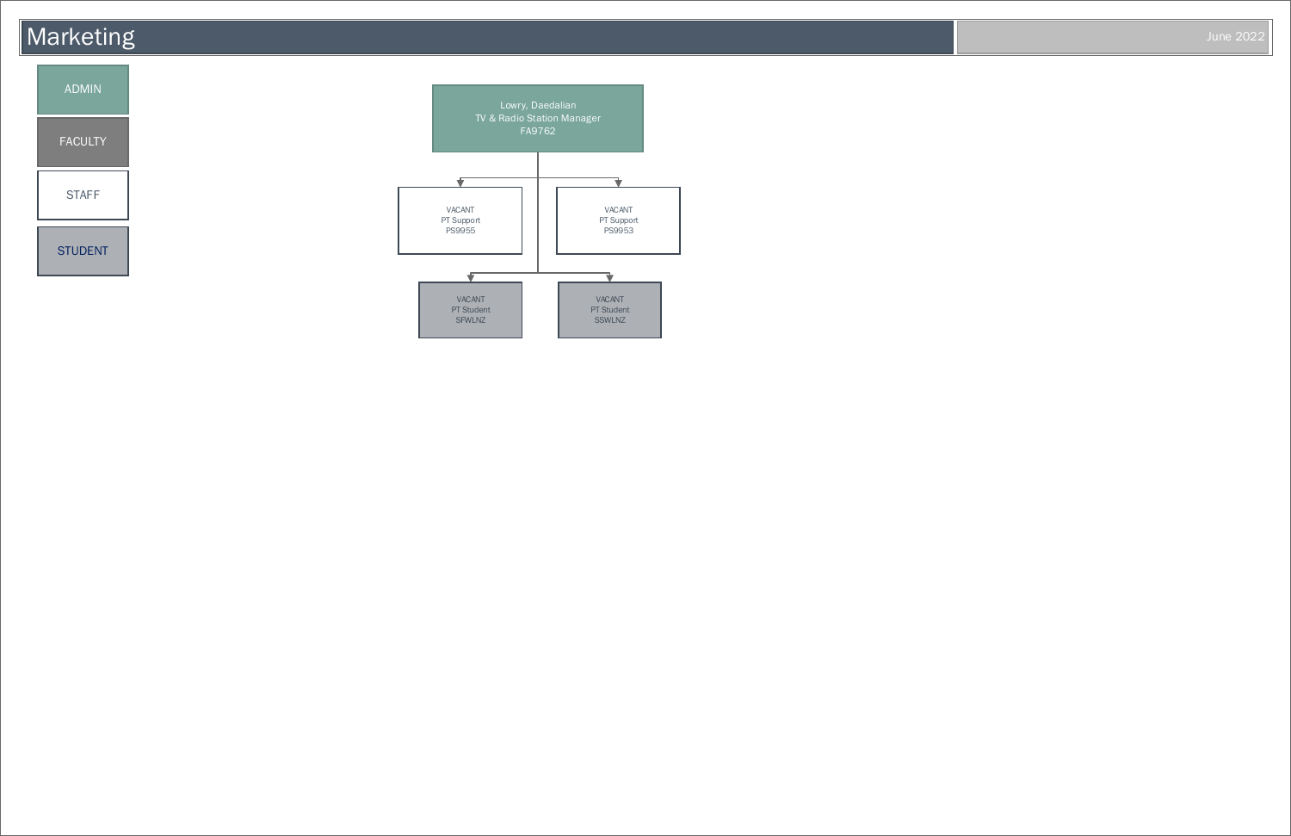#### **Marketing** June 2022